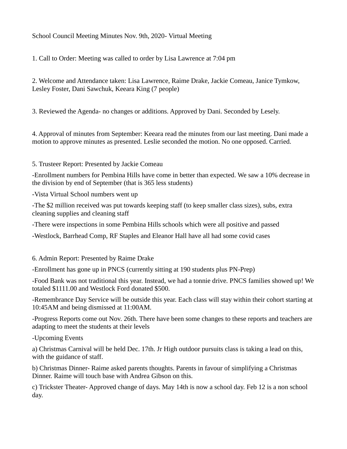School Council Meeting Minutes Nov. 9th, 2020- Virtual Meeting

1. Call to Order: Meeting was called to order by Lisa Lawrence at 7:04 pm

2. Welcome and Attendance taken: Lisa Lawrence, Raime Drake, Jackie Comeau, Janice Tymkow, Lesley Foster, Dani Sawchuk, Keeara King (7 people)

3. Reviewed the Agenda- no changes or additions. Approved by Dani. Seconded by Lesely.

4. Approval of minutes from September: Keeara read the minutes from our last meeting. Dani made a motion to approve minutes as presented. Leslie seconded the motion. No one opposed. Carried.

## 5. Trusteer Report: Presented by Jackie Comeau

-Enrollment numbers for Pembina Hills have come in better than expected. We saw a 10% decrease in the division by end of September (that is 365 less students)

-Vista Virtual School numbers went up

-The \$2 million received was put towards keeping staff (to keep smaller class sizes), subs, extra cleaning supplies and cleaning staff

-There were inspections in some Pembina Hills schools which were all positive and passed

-Westlock, Barrhead Comp, RF Staples and Eleanor Hall have all had some covid cases

6. Admin Report: Presented by Raime Drake

-Enrollment has gone up in PNCS (currently sitting at 190 students plus PN-Prep)

-Food Bank was not traditional this year. Instead, we had a tonnie drive. PNCS families showed up! We totaled \$1111.00 and Westlock Ford donated \$500.

-Remembrance Day Service will be outside this year. Each class will stay within their cohort starting at 10:45AM and being dismissed at 11:00AM.

-Progress Reports come out Nov. 26th. There have been some changes to these reports and teachers are adapting to meet the students at their levels

-Upcoming Events

a) Christmas Carnival will be held Dec. 17th. Jr High outdoor pursuits class is taking a lead on this, with the guidance of staff.

b) Christmas Dinner- Raime asked parents thoughts. Parents in favour of simplifying a Christmas Dinner. Raime will touch base with Andrea Gibson on this.

c) Trickster Theater- Approved change of days. May 14th is now a school day. Feb 12 is a non school day.